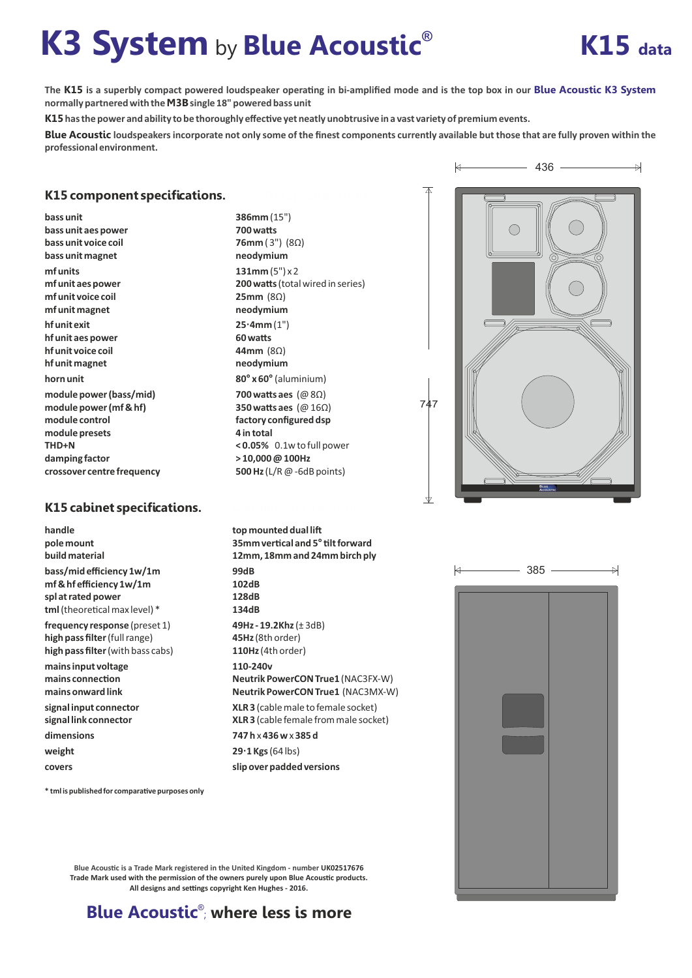# **K3 System by Blue Acoustic<sup>®</sup> K15 data**



The K15 is a superbly compact powered loudspeaker operating in bi-amplified mode and is the top box in our Blue Acoustic K3 System **normally partnered with the** M3B**single 18" powered bass unit**

K15 has the power and ability to be thoroughly effective yet neatly unobtrusive in a vast variety of premium events.

Blue Acoustic **loudspeakers incorporate not only some of the finest components currently available but those that are fully proven within the professional environment.**

## K15 component specifications.

**bass unit bass unit aes power bass unit voice coil bass unit magnet. mf units mf unit aes power mf unit voice coil mf unit magnet ..... hf unit exit hf unit aes power hf unit voice coil hf unit magnet horn unit module power (bass/mid) module power (mf & hf) module control module presets THD+N damping factor crossover centre frequency**

## K15 cabinet specifications.

**handle pole mount build material bass/mid efficiency 1w/1m mf & hf efficiency 1w/1m spl at rated power** tml (theoretical max level) \*

**frequency response** (preset 1) **high pass filter**(full range) **high pass filter** (with bass cabs)

 $*$  **tml is published for comparative purposes only** 

**mains input voltage** mains connection **mains onward link signal input connector signal link connector** dimensions **weight**

**covers**

**386mm** (15") **700 watts 76mm** ( 3") (8Ω) **neodymium 131mm** (5") x 2 **200 watts (total wired in series) 25mm** (8Ω) **neodymium 25·4mm** (1") **60 was 44mm** (8Ω) **neodymium 80° x 60°** (aluminium) **700 watts aes** (@ 8Ω) **350 watts aes** (@ 16Ω) **factory configured dsp 4 in total < 0.05%** 0.1w to full power **> 10,000 @ 100Hz 500 Hz** (L/R @ -6dB points)

**top mounted dual li 35mm vercal and 5°lt forward 12mm, 18mm and 24mm birch ply 99dB 102dB 128dB 134dB 49Hz - 19.2Khz** (± 3dB) **45Hz** (8th order) **110Hz** (4th order) **110-240v Neutrik PowerCON True1** (NAC3FX-W) **Neutrik PowerCON True1 ..**(NAC3MX-W) **....... XLR 3** (cable male to female socket) **XLR 3** (cable female from male socket) **747 h** x **436 w** x **385 d 29·1Kgs** (64 lbs)

**slip over padded versions**

 $\forall$ 436  $\overline{\triangleright}$ 

747

 $\forall$ 



**Blue Acoustic is a Trade Mark registered in the United Kingdom - number UK02517676 Trade Mark used with the permission of the owners purely upon Blue Acoustic products.** All designs and settings copyright Ken Hughes - 2016.

**Blue Acoustic<sup>®</sup> where less is more**